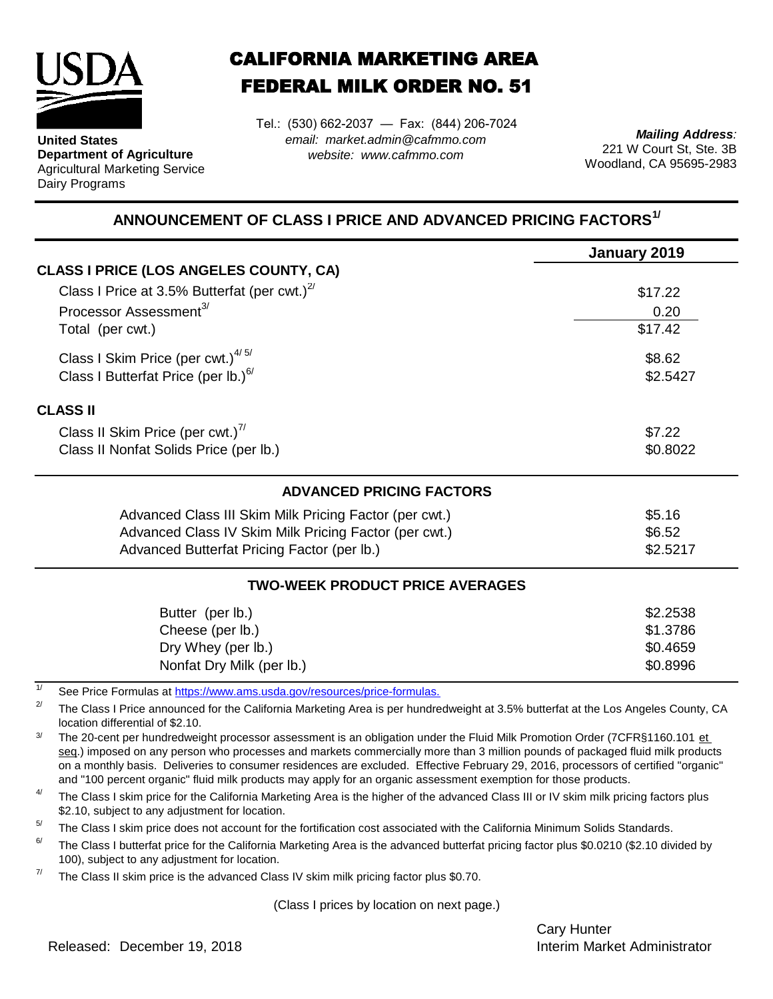

**United States Department of Agriculture** Agricultural Marketing Service Dairy Programs

## CALIFORNIA MARKETING AREA FEDERAL MILK ORDER NO. 51

*email: market.admin@cafmmo.com website: www.cafmmo.com* Tel.: (530) 662-2037 — Fax: (844) 206-7024

*Mailing Address:* 221 W Court St, Ste. 3B Woodland, CA 95695-2983

## **ANNOUNCEMENT OF CLASS I PRICE AND ADVANCED PRICING FACTORS1/**

|                                                                                | January 2019 |  |  |  |
|--------------------------------------------------------------------------------|--------------|--|--|--|
| <b>CLASS I PRICE (LOS ANGELES COUNTY, CA)</b>                                  |              |  |  |  |
| Class I Price at 3.5% Butterfat (per cwt.) $2^7$                               | \$17.22      |  |  |  |
| Processor Assessment <sup>3/</sup>                                             | 0.20         |  |  |  |
| Total (per cwt.)                                                               | \$17.42      |  |  |  |
| Class I Skim Price (per cwt.) $4/5/$                                           | \$8.62       |  |  |  |
| Class I Butterfat Price (per lb.) $6/$<br>\$2.5427                             |              |  |  |  |
| <b>CLASS II</b>                                                                |              |  |  |  |
| Class II Skim Price (per cwt.) $^{7/}$                                         | \$7.22       |  |  |  |
| Class II Nonfat Solids Price (per lb.)                                         | \$0.8022     |  |  |  |
| <b>ADVANCED PRICING FACTORS</b>                                                |              |  |  |  |
| Advanced Class III Skim Milk Pricing Factor (per cwt.)                         | \$5.16       |  |  |  |
| Advanced Class IV Skim Milk Pricing Factor (per cwt.)                          | \$6.52       |  |  |  |
| Advanced Butterfat Pricing Factor (per lb.)                                    | \$2.5217     |  |  |  |
| <b>TWO-WEEK PRODUCT PRICE AVERAGES</b>                                         |              |  |  |  |
| Butter (per lb.)                                                               | \$2.2538     |  |  |  |
| Cheese (per lb.)                                                               | \$1.3786     |  |  |  |
| Dry Whey (per lb.)                                                             | \$0.4659     |  |  |  |
| Nonfat Dry Milk (per lb.)                                                      | \$0.8996     |  |  |  |
| 1/<br>See Price Formulas at https://www.ams.usda.gov/resources/price-formulas. |              |  |  |  |

2/ The Class I Price announced for the California Marketing Area is per hundredweight at 3.5% butterfat at the Los Angeles County, CA location differential of \$2.10.

3/ The 20-cent per hundredweight processor assessment is an obligation under the Fluid Milk Promotion Order (7CFR§1160.101 et seg.) imposed on any person who processes and markets commercially more than 3 million pounds of packaged fluid milk products on a monthly basis. Deliveries to consumer residences are excluded. Effective February 29, 2016, processors of certified "organic" and "100 percent organic" fluid milk products may apply for an organic assessment exemption for those products.

4/ The Class I skim price for the California Marketing Area is the higher of the advanced Class III or IV skim milk pricing factors plus \$2.10, subject to any adjustment for location.

 $5/$ The Class I skim price does not account for the fortification cost associated with the California Minimum Solids Standards.

6/ The Class I butterfat price for the California Marketing Area is the advanced butterfat pricing factor plus \$0.0210 (\$2.10 divided by 100), subject to any adjustment for location.

7/ The Class II skim price is the advanced Class IV skim milk pricing factor plus \$0.70.

(Class I prices by location on next page.)